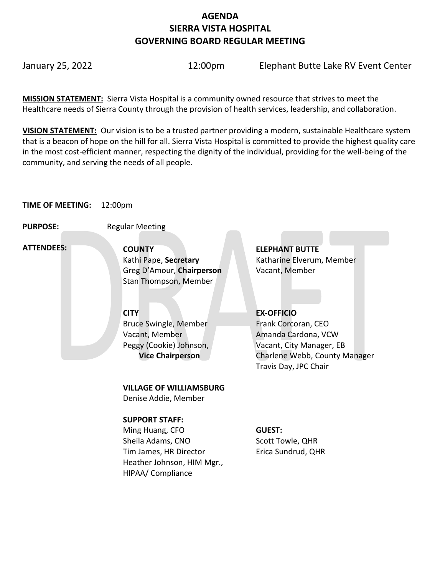# **AGENDA SIERRA VISTA HOSPITAL GOVERNING BOARD REGULAR MEETING**

January 25, 2022 12:00pm Elephant Butte Lake RV Event Center

**MISSION STATEMENT:** Sierra Vista Hospital is a community owned resource that strives to meet the Healthcare needs of Sierra County through the provision of health services, leadership, and collaboration.

**VISION STATEMENT:** Our vision is to be a trusted partner providing a modern, sustainable Healthcare system that is a beacon of hope on the hill for all. Sierra Vista Hospital is committed to provide the highest quality care in the most cost-efficient manner, respecting the dignity of the individual, providing for the well-being of the community, and serving the needs of all people.

# **TIME OF MEETING:** 12:00pm

**PURPOSE:** Regular Meeting

 **ATTENDEES:**

**COUNTY ELEPHANT BUTTE**  Greg D'Amour, **Chairperson** Vacant, Member Stan Thompson, Member

Bruce Swingle, Member Vacant, Member Peggy (Cookie) Johnson,  **Vice Chairperson**

**VILLAGE OF WILLIAMSBURG**

Denise Addie, Member

# **SUPPORT STAFF:**

Ming Huang, CFO Sheila Adams, CNO Tim James, HR Director Heather Johnson, HIM Mgr., HIPAA/ Compliance

Kathi Pape, **Secretary Katharine Elverum, Member** 

# **CITY EX-OFFICIO**

Frank Corcoran, CEO Amanda Cardona, VCW Vacant, City Manager, EB Charlene Webb, County Manager Travis Day, JPC Chair

# **GUEST:**

Scott Towle, QHR Erica Sundrud, QHR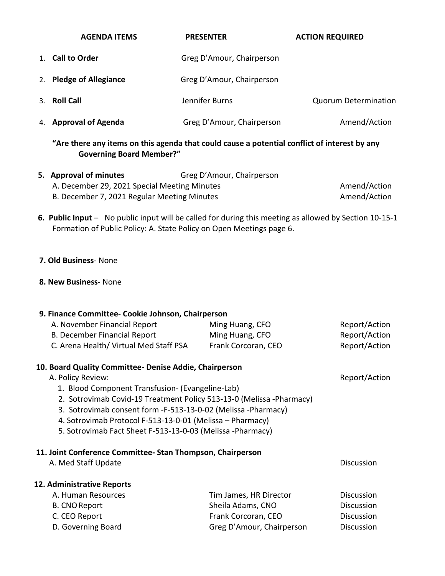| <b>AGENDA ITEMS</b>     | <b>PRESENTER</b>          | <b>ACTION REQUIRED</b>      |
|-------------------------|---------------------------|-----------------------------|
| 1. Call to Order        | Greg D'Amour, Chairperson |                             |
| 2. Pledge of Allegiance | Greg D'Amour, Chairperson |                             |
| 3. Roll Call            | Jennifer Burns            | <b>Quorum Determination</b> |
| 4. Approval of Agenda   | Greg D'Amour, Chairperson | Amend/Action                |
|                         |                           |                             |

**"Are there any items on this agenda that could cause a potential conflict of interest by any Governing Board Member?"**

| 5. Approval of minutes                       | Greg D'Amour, Chairperson |              |
|----------------------------------------------|---------------------------|--------------|
| A. December 29, 2021 Special Meeting Minutes |                           | Amend/Action |
| B. December 7, 2021 Regular Meeting Minutes  |                           | Amend/Action |

 **6. Public Input** – No public input will be called for during this meeting as allowed by Section 10-15-1 Formation of Public Policy: A. State Policy on Open Meetings page 6.

#### **7. Old Business**- None

#### **8. New Business**- None

# **9. Finance Committee- Cookie Johnson, Chairperson** A. November Financial Report Ming Huang, CFO Report/Action B. December Financial Report Ming Huang, CFO Report/Action C. Arena Health/ Virtual Med Staff PSA Frank Corcoran, CEO Report/Action **10. Board Quality Committee- Denise Addie, Chairperson** A. Policy Review: Report/Action 1. Blood Component Transfusion- (Evangeline-Lab) 2. Sotrovimab Covid-19 Treatment Policy 513-13-0 (Melissa -Pharmacy) 3. Sotrovimab consent form -F-513-13-0-02 (Melissa -Pharmacy) 4. Sotrovimab Protocol F-513-13-0-01 (Melissa – Pharmacy) 5. Sotrovimab Fact Sheet F-513-13-0-03 (Melissa -Pharmacy) **11. Joint Conference Committee- Stan Thompson, Chairperson A. Med Staff Update Discussion Discussion 12. Administrative Reports** A. Human Resources Tim James, HR Director Discussion B. CNO Report **Sheila Adams, CNO** Discussion C. CEO Report **Frank Corcoran, CEO** Discussion D. Governing Board Greg D'Amour, Chairperson Discussion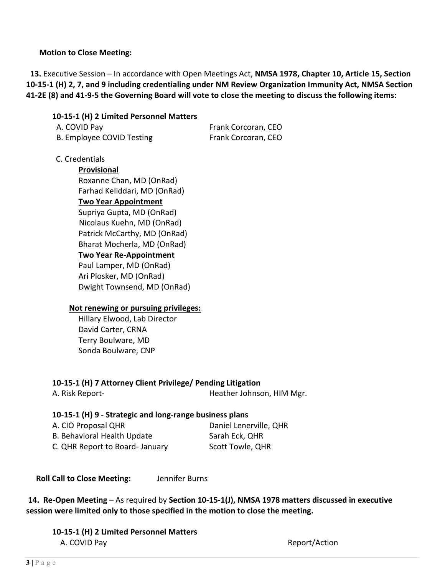### **Motion to Close Meeting:**

 **13.** Executive Session – In accordance with Open Meetings Act, **NMSA 1978, Chapter 10, Article 15, Section 10-15-1 (H) 2, 7, and 9 including credentialing under NM Review Organization Immunity Act, NMSA Section 41-2E (8) and 41-9-5 the Governing Board will vote to close the meeting to discuss the following items:**

# **10-15-1 (H) 2 Limited Personnel Matters**

| A. COVID Pay              | Frank Corcoran, CEO |
|---------------------------|---------------------|
| B. Employee COVID Testing | Frank Corcoran, CEO |

### C. Credentials

**Provisional** Roxanne Chan, MD (OnRad) Farhad Keliddari, MD (OnRad)

#### **Two Year Appointment**

Supriya Gupta, MD (OnRad) Nicolaus Kuehn, MD (OnRad) Patrick McCarthy, MD (OnRad) Bharat Mocherla, MD (OnRad) **Two Year Re-Appointment**

Paul Lamper, MD (OnRad) Ari Plosker, MD (OnRad) Dwight Townsend, MD (OnRad)

#### **Not renewing or pursuing privileges:**

Hillary Elwood, Lab Director David Carter, CRNA Terry Boulware, MD Sonda Boulware, CNP

**10-15-1 (H) 7 Attorney Client Privilege/ Pending Litigation**

A. Risk Report-<br>
Heather Johnson, HIM Mgr.

# **10-15-1 (H) 9 - Strategic and long-range business plans**

| A. CIO Proposal QHR             | Daniel Lenerville, QHR |
|---------------------------------|------------------------|
| B. Behavioral Health Update     | Sarah Eck, QHR         |
| C. QHR Report to Board- January | Scott Towle, QHR       |

 **Roll Call to Close Meeting:** Jennifer Burns

**14. Re-Open Meeting** – As required by **Section 10-15-1(J), NMSA 1978 matters discussed in executive session were limited only to those specified in the motion to close the meeting.**

**10-15-1 (H) 2 Limited Personnel Matters A. COVID Pay Report Action**